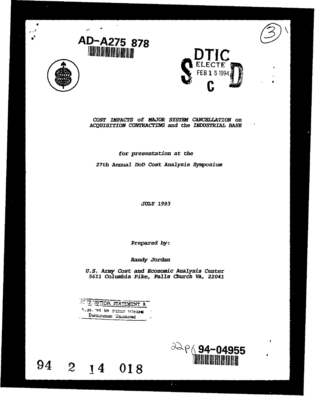





# *COST IMPACTS of MAJOR SYSTED CANCELLATION on ACQUISITION CONTRACTING* and thze *INflUS7RIALi BASH*

# for *presentation* at the

27th Annual *DoD Cost Analysis Synposium*

*JULY 1993*

*Prepared by:*

Randy *Tordan*

*U.S. Armty Cost and Economic Analysis Center 5611* Columbia Pike, *Falls* Church VA, *22041*

| ATTP. BUTION STATEMENT A     |  |
|------------------------------|--|
| Auptured for public releases |  |
| Distribution Unitmited       |  |

94

# **2** 14 018 **about 2** 14 018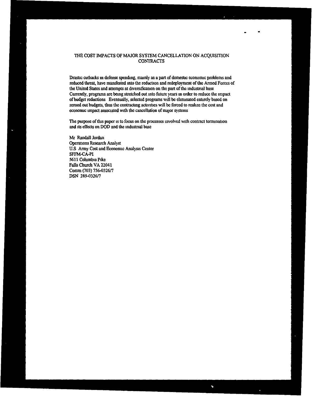# THE COST IMPACTS OF MAJOR SYSTEM CANCELLATION ON ACQUISITION CONTRACTS

Drastic cutbacks in defense spending, mainly as a part of domestic economic problems and reduced threat, have manifested into the reduction and redeployment of the Armed Forces of the United States and attempts at diversification on the part of the industrial base Currently, programs are being stretched out into future years in order to reduce the impact of budget reductions Eventually, selected programs will be eliminated entirely based on zeroed out budgets, thus the contracting activities will be forced to realize the cost and economic impact associated with the cancellation of major systems

The purpose of this paper is to focus on the processes involved with contract termination and its effects on **DOD** and the industrial base

 $\gamma$ 

Mr Randall Jordan Operations Research Analyst U.S Army Cost and Economic Analysis Center SFFM-CA-PI 5611 Columbia Pike Falls Church VA 22041 Comm (703) 756-0326/7 DSN 289-0326/7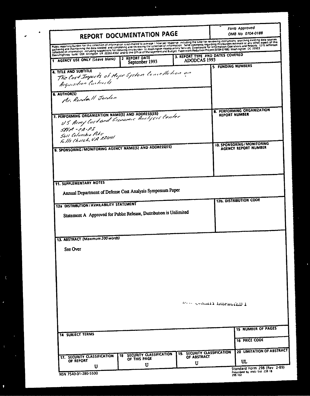| REPORT DOCUMENTATION PAGE                                                                                                                                                                                                         |                                                           |                                                  | Form Approved<br>OMB No 0704-0188 |                                                                            |
|-----------------------------------------------------------------------------------------------------------------------------------------------------------------------------------------------------------------------------------|-----------------------------------------------------------|--------------------------------------------------|-----------------------------------|----------------------------------------------------------------------------|
| Public reporting burden for this collection of information is estimated to average. I how per response, including the time for reviewing instructions, searching existing data sources<br>gathering and maintaining the data need |                                                           |                                                  |                                   |                                                                            |
| 1 AGENCY USE ONLY (Leave blank)                                                                                                                                                                                                   | 2 REPORT DATE<br>September 1993                           | 3. REPORT TYPE AND DATES COVERED<br>ADODCAS 1993 |                                   |                                                                            |
| 4. TITLE AND SUBTITLE<br>The Cost Impects of Major System Concelletion on<br>Acquisition Contracts<br>6. AUTHOR(S)<br>Mr. Rendall Jorden                                                                                          |                                                           |                                                  | 5 FUNDING NUMBERS                 |                                                                            |
| 7. PERFORMING ORGANIZATION NAME(S) AND ADDRESS(ES)<br>US Army lost and Georgenic Analysis Center<br>$SFFM - CA-PI$<br>Sull Columbia Pike<br>Falls Church, VA 22041                                                                |                                                           |                                                  | REPORT NUMBER                     | 8. PERFORMING ORGANIZATION                                                 |
| 9. SPONSORING/MONITORING AGENCY NAME(S) AND ADDRESS(ES)                                                                                                                                                                           |                                                           |                                                  |                                   | 10. SPONSORING/MONITORING<br>AGENCY REPORT NUMBER                          |
| <b>11. SUPPLEMENTARY NOTES</b><br>Annual Department of Defense Cost Analysis Symposium Paper<br>12a DISTRIBUTION/AVAILABILITY STATEMENT<br>Statement A Approved for Public Release, Distribution is Unlimited                     |                                                           |                                                  |                                   | <b>12b. DISTRIBUTION CODE</b>                                              |
| 13. ABSTRACT (Maximum 200 words)<br>See Over                                                                                                                                                                                      |                                                           |                                                  |                                   |                                                                            |
|                                                                                                                                                                                                                                   |                                                           |                                                  | Man comment protection 1          |                                                                            |
| <b>14 SUBJECT TERMS</b>                                                                                                                                                                                                           |                                                           |                                                  |                                   | <b>15 NUMBER OF PAGES</b><br><b>16 PRICE CODE</b>                          |
| 17. SECURITY CLASSIFICATION<br>OF REPORT                                                                                                                                                                                          | <b>SECURITY CLASSIFICATION</b><br>18<br>OF THIS PAGE<br>U | 19. SECURITY CLASSIFICATION<br>OF ABSTRACT<br>U  |                                   | 20 LIMITATION OF ABSTRACT<br>UL                                            |
| U<br>NSN 7540-01-280-5500                                                                                                                                                                                                         |                                                           |                                                  |                                   | Standard Form 298 (Rev 2-89)<br>Prescribed by ANSI Std. 239-18.<br>298-102 |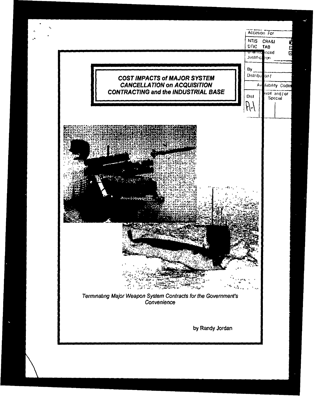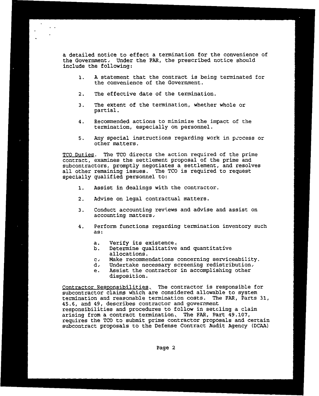a detailed notice to effect a termination for the convenience of the Government, Under the FAR, the prescribed notice should include the following:

- **1.** A statement that the contract is being terminated for the convenience of the Government.
- 2. The effective date of the termination.
- 3. The extent of the termination, whether whole or partial.
- 4. Recommended actions to minimize the impact of the termination, especially on personnel.
- 5. Any special instructions regarding work in process or other matters.

TCO Duties. The **TCO** directs the action required of the prime contract, examines the settlement proposal of the prime and subcontractors, promptly negotiates a settlement, and resolves all other remaining issues. The TCO is required to request specially qualified personnel to:

- **1.** Assist in dealings with the contractor.
- 2. Advise on legal contractual matters.
- 3. Conduct accounting reviews and advise and assist on accounting matters-
- 4. Perform functions regarding termination inventory such as:
	- a. Verify its existence.<br>b. Determine qualitative
	- b. Determine qualitative and quantitative allocations.
	- **c'** Make recommendations concerning serviceability.
	- **d,** Undertake necessary screening redistribution-
	- e. Assist the contractor in accomplishing other disposition.

Contractor Responsibilities, The contractor is responsible for subcontractor claims which are considered allowable to system termination and reasonable termination costs. The FAR, Parts 31, 45.6, and 49, describes contractor and government responsibilities and procedures to follow in setcling a claim arising from a contract termination, The FAR, Part 49.107, requires the **TCO** to submit prime contractor proposals and certain subcontract proposals to the Defense Contract Audit Agency (DCAA)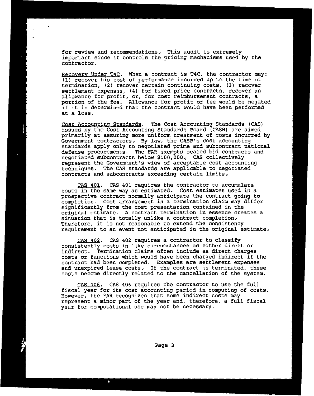for review and recommendations, This audit is extremely important since it controls the pricing mechanisms used by the contractor.

Recovery Under T4C. When a contract is T4C, the contractor may: **(1)** recover his cost of performance incurred up to the time of settlement expenses, (4) for fixed price contracts, recover an allowance for profit, or, for cost reimbursement contracts, a portion of the fee. Allowance for profit or fee would be negated if it is determined that the contract would have been performed at a loss.

Cost Accounting Standards. The Cost Accounting Standards (CAS) issued by the Cost Accounting Standards Board (CASB) are aimed primarily at assuring more uniform treatment of costs incurred by Government contractors, By law, the CASB's cost accounting standards apply only to negotiated prime and subcontract national defense procurements. The PAR exempts sealed bid contracts and negotiated subcontracts below \$i00,000, CAS collectively represent the Government's view of acceptable cost accounting techniques. The CAS standards are applicable to negotiated contracts and subcontracts exceeding certain limits,

CAS 401. CAS 401 requires the contractor to accumulate costs in the same way as estimated. Cost estimates used in a prospective contract normally anticipate the contract going to completion, Cost arrangement in a termination claim may differ significantly from the cost presentation contained in the original estimate. A contract termination in essence creates a situation that is totally unlike a contract completion, Therefore, it is not reasonable to extend the consistency requirement to an event not anticipated in the original estimate,

CAS 402. CAS 402 requires a contractor to classify<br>consistently costs in like circumstances as either direct or indirect. Termination claims often include as direct charges costs or functions which would have been charged indirect if the contract had been completed. Examples are settlement expenses and unexpired lease costs, If the contract is terminated, these costs become directly related to the cancellation of the system.

**CAS** 406. CAS 406 requires the contractor to use the full fiscal year for its cost accounting period in computing of costs. However, the FAR recognizes that some indirect costs may represent a minor part of the year and, therefore, a full fiscal year for computational use may not be necessary.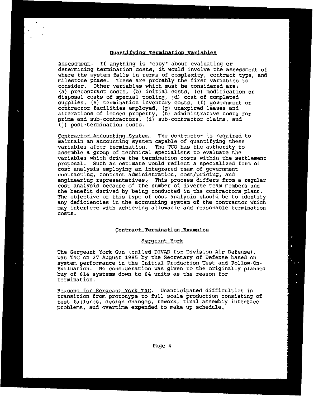# Quantifying Termination Variables

Assessment. If anything is "easy' about evaluating or determining termination costs, it would involve the assessment of where the system falls in terms of complexity, contract type, and milestone phase. These are probably the first variables to consider. Other variables which must be considered are: (a) precontract costs, (b) initial costs, (c) modification or disposal costs of special tooling, (d) cost of completed supplies, (e) termination inventory costs, (f) government or contractor facilities employed, (g) unexpired leases and alterations of leased property, (h) administrative costs for prime and sub-contractors, (i) sub-contractor claims, and (j) post-termination costs.

Contractor Accounting System. The contractor is required to maintain an accounting system capable of quantifying these variables after termination. The TCO has the authority to assemble a group of technical specialists to evaluate the variables which drive the termination costs within the settlement proposal. Such an estimate would reflect a specialized form of cost analysis employing an integrated team of government contracting, contract administration, cost/pricing, and engineering representatives, This process differs from a regular cost analysis because of the number of diverse team members and the benefit derived by being conducted in the contractors plant. The objective of this type of cost analysis should be to identify any deficiencies in the accounting system of the contractor which may interfere with achieving allowable and reasonable termination costs.

#### **Contract Termination Examoles**

#### Sergeant York

The Sergeant York Gun (called DIVAD for Division Air Defense), was T4C on 27 August 1985 by the Secretary of Defense based on system performance in the Initial Production Test and Follow-On-Evaluation. No consideration was given to the originally planned buy of 614 systems down to 64 units as the reason for termination,

Reasons for Sergeant York T4C. Unanticipated difficulties in transition from prototype to full scale production consisting of test failures, design changes, rework, final assembly interface problems, and overtime expended to make up schedule,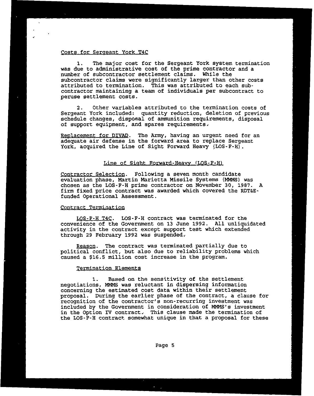# Costs for Sergeant York T4C

1. The major cost for the Sergeant York system termination was due to administrative cost of the prime contractor and a number of subcontractor settlement claims. While the subcontractor claims were significantly larger than other costs attributed to termination. This was attributed to each subcontractor maintaining a team of individuals per subcontract to peruse settlement costs.

2. Other variables attributed to the termination costs of Sergeant York included: quantity reduction, deletion of previous schedule changes, disposal of ammunition requirements, disposal of support equipment, and spares requirements,

Replacement for DIVAD. The Army, having an urgent need for an adequate air defense in the forward area to replace Sergeant York, acquired the Line of Sight Forward Heavy (LOS-F-H).

## Line of Sight Forward-Heavy (LOS-F-H)

Contractor Selection. Following a seven month candidate evaluation phase, Martin Marietta Missile Systems (MMMS) was chosen as the LOS-F-H prime contractor on November 30, 1987. A firm fixed price contract was awarded which covered the RDT&Efunded Operational Assessment.

## Contract Termination

LOS-F-H T4C. LOS-F-H contract was terminated for the convenience of the Government on 13 June 1992. All unliquidated activity in the contract except support test which extended through 29 February 1992 was suspended,

Reason. The contract was terminated partially due to political conflict, but also due to reliability problems which caused a \$16.5 million cost increase in the program.

### Termination Elements

**1.** Based on the sensitivity of the settlement negotiations, NMMS was reluctant in dispersing information concerning the estimated cost data within their settlement proposal. During the earlier phase of the contract, a clause for recognition of the contractor's non-recurring investment was included by the Government in consideration of MMMS's investment in the option IV contract, This clause made the termination of the LOS-F-H contract somewhat unique in that a proposal for these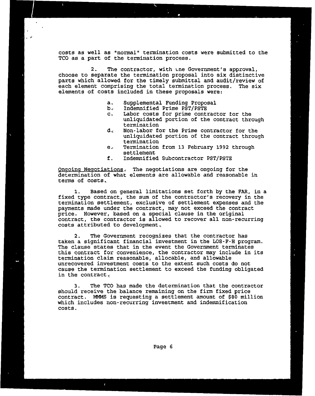costs as well as "normal" termination costs were submitted to the TCO as a part of the termination process.

2. The contractor, with Lne Government's approval, choose to separate the termination proposal into six distinctive parts which allowed for the timely submittal and audit/review of each element comprising the total termination process. The six elements of costs included in these proposals were:

- a. Supplemental Funding Proposal
- 
- **b,** indemnified Prime PST/PSTE c. Labor costs for prime contractor for the unliquidated portion of the contract through termination
- **d,** Non-labor for the Prime contractor for the unliquidated portion of the contract through termination
- e, Termination from 13 February 1992 through settlement
- f. Indemnified Subcontractor PST/PSTE

Ongoing Negotiations, The negotiations are ongoing for the determination of what elements are allowable and reasonable in terms of costs,

**1.** Based on general limitations set forth by the FAR, in <sup>a</sup> fixed type contract, the sum of the contractor's recovery in the termination settlement, exclusive of settlement expenses and the payments made under the contract, may not exceed the contract price. However, based on a special clause in the original contract, the contractor is allowed to recover all non-recurring costs attributed to development,

2. The Government recognizes that the contractor has taken a significant financial investment in the LOS-F-H program. The clause states that in the event the Government terminates this contract for convenience, the contractor may include in its termination claim reasonable, allocable, and allowable unrecovered investment costs to the extent such costs do not cause the termination settlement to exceed the funding obligated in the contract,

3. The TCO has made the determination that the contractor should receive the balance remaining on the firm fixed price contract. MMMS is requesting a settlement amount of \$80 million which includes non-recurring investment and indemnification costs.

 $\epsilon$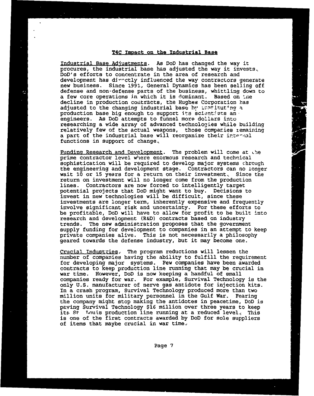#### T4C Impact on the Industrial Base

Industrial Base Adjustments. As DoD has changed the way it procures, the industrial base has adjusted the way it invests, DoD's efforts to concentrate in the area of research and development has directly influenced the way contractors generate new business. Since 1991, General Dynamics has been selling off defense and non-defense parts of the business, whittling down to a few core operations in which it is dominant. Based on the decline in production contracts, the Hughes Corporation has adjusted to the changing industrial base by  $\lim_{n \to \infty} \frac{1}{n}$ production base big enough to support its scientists an engineers. As DoD attempts to funnel more dollars into researching a wide array of advanced technologies while building<br>relatively few of the actual weapons. those companies remaining a part of the industrial base will reorganize their internal functions in support of change,

Funding Research and Development. The problem will come at .he prime contractor level where enormous research and technical sophistication will be required to develop major systems chrough the engineering and development stage. Contractors can no longer wait 10 or 15 years for a return on their investment. Since the return on investment will no longer come from the production lines. Contractors are now forced to intelligently target potential projects that DoD might want to buy. Decisions to invest in new technologies will be difficult, since these investments are longer term, inherently expensive and frequently involve significant risk and uncertainty. For these efforts to be profitable, DoD will have to allow for profit to be built into research and development (R&D) contracts based on industry trends. The new administration proposes that the government supply funding for development to companies in an attempt to keep private companies alive. This is not necessarily a philosophy geared towards the defense industry, but it may become one.

Crucial Industries. The program reductions will lessen the number of companies having the ability to fulfill the requirement for developing major systems. Few companies have been awarded contracts to keep production line running that may be crucial in war time. However, DoD is now keeping a handful of small companies ready for war. For example, Survival Technology is the only U.S. manufacturer of nerve gas antidote for injection kits. In a crash program, Survival Technology produced more than two million units for military personnel in the Gulf War. Fearing the company might stop making the antidotes in peacetime, DoD is paving Survival Technology \$16 million over three years to keep its St Touis production line running at a reduced level. This is one of the first contracts awarded by DOD for sole suppliers of items that maybe crucial in war time-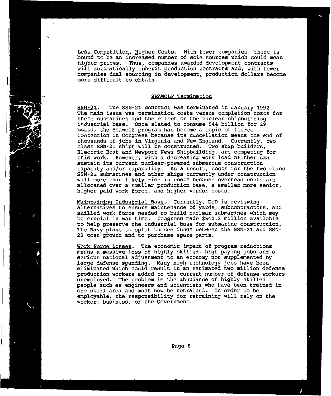Less Competition, Higher Costs. With fewer companies, there is bound to be an increased number of sole sources which could mean higher prices. Thus, companies awarded development contracts will automatically inherit production contracts and, with fewer companies dual sourcing in development, production dollars become more difficult to obtain.

#### SEAWOLF Termination

SSN-21. The SSN-21 contract was terminated in January **1992,** The main issue was termination costs versus completion costs for these submarines and the effect on the nuclear shipbuilding industrial base. Once slated to consume \$44 billion for 29 boats4, the Seawolf program has become a topic of fierce contention in Congress because its cancellation means the end of thousands of jobs in Virginia and New England. Currently, two class SSN-21 ships will be constructed, Two ship builders, Electric Boat and Newport News Shipbuilding, are competing for this work. However, with a decreasing work load neither can sustain its current nuclear-powered submarine construction capacity and/or capability. As a result, costs for the two class SSN-21 submarines and other ships currently under construction will more than likely rise in costs because overhead costs are allocated over a smaller production base, a smaller more senior, higher paid work force, and higher vendor costs,

Maintaining Industrial Base, Currently, DoD is reviewing alternatives to ensure maintenance of yards, subcontractors, and skilled work force needed to build nuclear submarines which may be crucial in war time. Congress made \$540.2 million available to help preserve the industrial base for submarine construction. The Navy plans to split theses funds between the SSN-21 and SSN-22 cost growth and to purchase spare parts.

Work Force Losses. The economic impact of program reductions<br>means a massive loss of highly skilled, high paying jobs and a<br>serious national adjustment to an economy not supplemented by<br>large defense spending. Many high te eliminated which could result in an estimated two million defense production workers added to the current number of defense workers unemployed. The problem is the abundance of highly skilled people such as engineers and scientists who have been trained in one skill area and must now be retrained, In order to be employable, the responsibility for retraining will rely on the worker, business, or the Government.

Page 8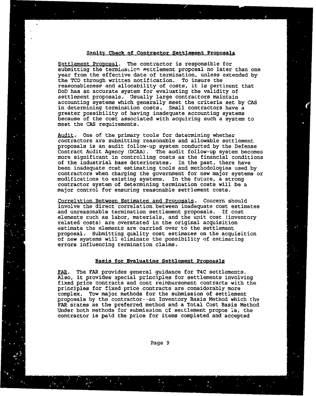### Sanity Check of Contractor Settlement Proposals

Settlement Proposal. The contractor is responsible for submitting the termination settlement proposal no later than one year from the effective date of termination, unless extended by the TCO through written notification. To insure the reasonableness and allocability of costs, it is pertinent that DoD has an accurate system for evaluating the validity of settlement proposals. Usually large contractors maintain accounting systems which generally meet the criteria set by CAS in determining termination costs, Small contractors have a greater possibility of having inadequate accounting systems greater possibility of having inadequate accounting systems<br>because of the cost associated with acquiring such a system to meet the CAS requirements.

Audit. One of the primary tools for determining whether contractors are submitting reasonable and allowable settlement proposals is an audit follow-up system conducted by the Defense Contract Audit Agency (DCAA). The audit follow-up system becomes more significant in controlling costs as the financial conditions of the industrial base deteriorates, In the past, there have been inadequate cost estimating tools and methodologies used by contractors when charging the government for new major systems or modifications to existing systems. In the future, a strong contractor system of determining termination costs will be a major control for ensuring reasonable settlement costs.

Correlation Between Estimates and Proposals, Concern should involve the direct correlation between inadequate cost estimates and unreasonable termination settlement proposals. If cost elements such as labor, materials, and the unit cost (inventory related costs) are overstated in the original acquisition estimate the elements are carried over to the settlement proposal, Submitting quality cost estimates on the acquisition of new systems will eliminate the possibility of estimating errors influencing termination claims,

## Basis for Evaluating Settlement Proposals

FAR. The FAR provides general guidance for T4C settlements. Also, it provides special principles for settlements involving fixed price contracts and cost reimbursement contracts with the principles for fixed price contracts are considerably more complex. Tow major methods for the submission of settlement proposals by the contractor--an Inventory Basis Method which the FAR states as the preferred method and a Total Cost Basis Method Under both methods for submission cf settlement propos **Is,** the contractor is paid the price for items completed and accepted

Page 9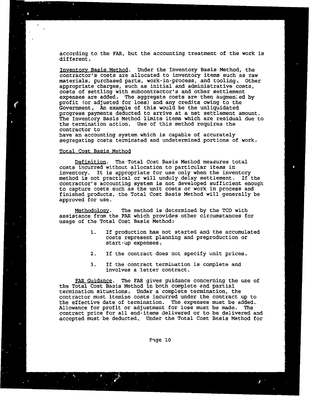according to the FAR, but the accounting treatment of the work is different,

Inventory Basis Method. Under the Inventory Basis Method, the contractor's costs are allocated to inventory items such as raw materials, purchased parts, work-in-process, and tooling, Other appropriate charges, such as initial and administrative costs, costs of settling with subcontractor's and other settlement expenses are added. The aggregate costs are then augmented by<br>profit (or adjusted for loss) and any credits owing to the Government, An example of this would be the unliquidated progress payments deducted to arrive at a net settlement amount. The Inventory Basis Method limits items which are residual due to the termination action. Use of this method requires the contractor to

have an accounting system which is capable of accurately segregating costs terminated and undetermined portions of work,

## Total Cost Basis method

Definition. The Total Cost Basis Method measures total costs incurred without allocation to particular items in inventory. It is appropriate for use only when the inventory method is not practical or will unduly delay settlement. If the contractor's accounting system is not developed sufficient enough to capture costs such as the unit costs or work in process and finished products, the Total Cost Basis Method will generally be approved for use.

Methodology. The method is determined by the TCO with assistance from the FAR which provides other circumstances for usage of the Total Cost Basis Method:

> **1.** If production has not started and the accumulated costs represent planning and preproduction or start-up expenses,

 $\pmb{\delta}$ 

- 2. If the contract does not specify unit prices,
- 3. If the contract termination is complete and involves a letter contract.

FAR Guidance. The FAR gives guidance concerning the use of the Total Cost Basis Method in both complete and partial termination situations, Under a complete termination, the contractor must itemize costs incurred under the contract up to the effective date of termination. The expenses must be added.<br>Allowance for profit or adjustment for loss must be made. The Allowance for profit or adjustment for loss must be made. contract price for all end-items delivered or to be delivered and accepted must be deducted, Under the Total Cost Basis Method for

Pige **10**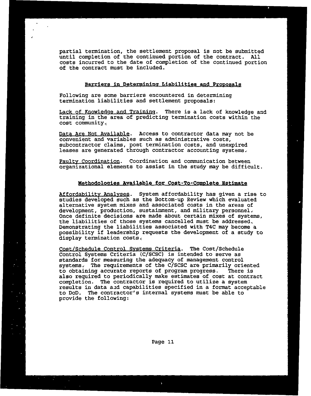partial termination, the settlement proposal is not be submitted until completion of the continued portion of the contract. All costs incurred to the date of completion of the continued portion of the contract must be included.

# Barriers in Determining Liabilities and Proposals

Following are some barriers encountered in determining termination liabilities and settlement proposals:

Lack of Knowledge and Training. There is a lack of knowledge and training in the area of predicting termination costs within the cost conmunity,

Data Are Not Available. Access to contractor data may not be convenient and variables such as administrative costs, subcontractor claims, post termination costs, and unexpired leases are generated through contractor accounting systems,

Faulty Coordination. Coordination and communication between organizational elements to assist in the study may be difficult.

# Methodologies Available for Cost-To-Comolete Estimate

Affordability Analyses. System affordability has given a rise to studies developed such as the Bottom-up Review which evaluated alternative system mixes and associated costs in the areas of development, production, sustainment, and military personnel, Once definite decisions are made about certain mixes of systems, the liabilities of those systems cancelled must be addressed,<br>Demonstrating the liabilities associated with T4C may become a possibility if leadership requests the development of a study to display termination costs,

Cost/Schedule Control Systems Criteria. The Cost/Schedule<br>Control Systems Criteria (C/SCSC) is intended to serve as standards for measuring the adequacy of management control systems. The requirements of the C/SCSC are primarily oriented<br>to obtaining accurate reports of program progress. There is to obtaining accurate reports of program progress. also required to periodically make estimates of cost at contract results in data and capabilities specified in a format acceptable to DoD. The contractor's internal systems must be able to provide the following: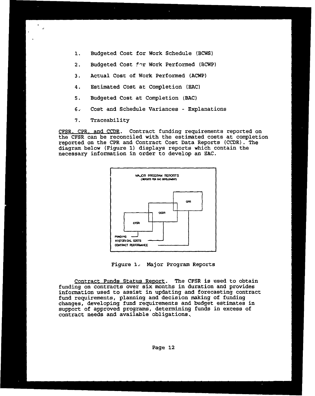- **1.** Budgeted Cost for Work Schedule (BCWS)
- 2. Budgeted Cost for Work Performed (BCWP)
- 3. Actual Cost of Work Performed (ACWP)
- 4. Estimated Cost at Completion (EAC)
- 5. Budgeted Cost at Completion (BAC)
- **6,** Cost and Schedule Variances Explanations
- 7. Traceability

CFSR. CPR. and CCDR. Contract funding requirements reported on the CFSR can be reconciled with the estimated costs at completion reported on the CPR and Contract Cost Data Reports (CCDR). The diagram below (Figure **1)** displays reports which contain the necessary information in order to develop an EAC.



Figure **1,** Major Program Reports

Contract Funds Status Report. The CFSR is used to obtain funding on contracts over six months in duration and provides information used to assist in updating and forecasting contract fund requirements, planning and decision making of funding changes, developing fund requirements and budget estimates in support of approved programs, determining funds in excess of contract needs and available obligations,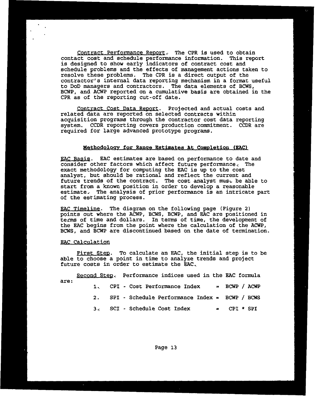Contract Performance Report, The CPR is used to obtain contact cost and schedule performance information. This report is designed to show early indicators of contract cost and schedule problems and the effects of management actions taken to resolve these problems. The CPR is a direct output of the contractor's internal data reporting mechanism in a format useful to DoD managers and contractors. The data elements of BCWS, BCWP, and ACWP reported on a cumulative basis are obtained in the CPR as of the reporting cut-off date.

Contract Cost Data Report. Projected and actual costs and related data are reported on selected contracts within acquisition programs through the contractor cost data reporting system. CCDR reporting covers production commitment. CCDR are required for large advanced prototype programs.

#### Methodology for Range Estimates At Completion (EAC)

EAC Basis. EAC estimates are based on performance to date and consider other factors which affect future performance. The exact methodology for computing the EAC is up to the cost analyst, but should be rational and reflect the current and future trends of the contract. The cost analyst mus, be able to start from a known position in order to develop a reasonable estimate, The analysis of prior performance is an intricate part of the estimating process.

EAC Timeline. The diagram on the following page (Figure 2) points out where the ACWP, BCWS, BCWP, and **EAC** are positioned in terms of time and dollars. In terms of time, the development of the **EAC** begins from the point where the calculation of the ACWP, BCWS, and BCWP are discontinued based on the date of termination.

### **RAC** Calculation

First Step. To calculate an EAC, the initial step is to be able to choose a point in time to analyze trends and project future costs in order to estimate the EAC.

Second Step. Performance indices used in the EAC formula are:<br>**1.** CPI - Cost Performance Index = BCWP / ACWP 2. SPI - Schedule Performance Index = BCWP / BCWS

- 
- **3,** SCI Schedule Cost Index = CPI \* SPI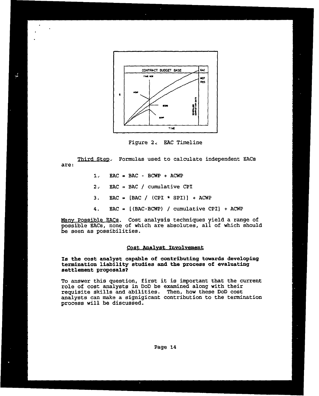

Figure 2, **EAC** Timeline

are:

**1, RAC** = BAC- BCWP + ACWP

 $\mathcal{L}$ 

- 2, **EAC** = BAC / cumulative CPI
- 3. EAC =  $\text{[BAC / (CPI * SPI)} + \text{ACWP}$
- 4. EAC = [(BAC-BCWP) / cumulative **CPI]** + ACWP

Many Possible EACs. Cost analysis techniques yield a range of possible EACs, none of which are absolutes, all of which should be seen as possibilities.

#### Cost Analyst Involvement

Is the cost analyst capable of contributing towards developing termination liability studies and the process of evaluating settlement proposals?

To answer this question, first it is important that the current role of cost analysts in DoD be examined along with their requisite skills and abilities. Then, how these DoD cost analysts can make a signigicant contribution to the termination process will be discussed.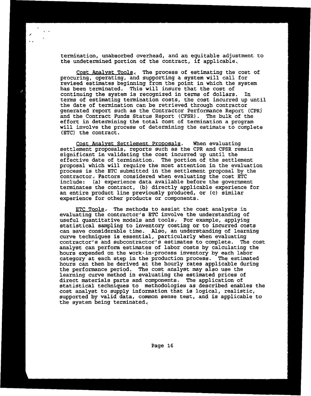termination, unabsorbed overhead, and an equitable adjustment to the undetermined portion of the contract, if applicable,

Cost Analyst Tools, The process of estimating the cost of procuring, operating, and supporting a system will call for revised estimates beginning from the point in which the system has been terminated, This will insure that the cost of continuing the system is recognized in terms of dollars. terms of estimating termination costs, the cost incurred up until the date of termination can be retrieved through contractor generated report such as the Contractor Performance Report (CPR) and the Contract Funds Status Report (CFSR). The bulk of the effort in determining the total cost of termination a program will involve the process of determining the estimate to complete (ETC) the contract.

Cost Analyst Settlement Proposals. When evaluating settlement proposals, reports such as the CPR and CFSR remain significant in validating the cost incurred up until the effective date of termination. The portion of the settlement proposal which will require the most attention in the evaluation process is the ETC submitted in the settlement proposal by the contractor, Factors considered when evaluating the cost ETC include: (a) experience data available before the government terminates the contract, (b) directly applicable experience for an entire product line previously produced, or (c) similar experience for other products or components.

ETC Tools, The methods to assist the cost analysts in evaluating the contractor's ETC involve the understanding of useful quantitative models and tools, For example, applying statistical sampling to inventory costing or to incurred costs can save considerable time. Also, an understanding of learning curve techniques is essential, particularly when evaluating contractor's and subcontractor's estimates to complete. The cost analyst can perform estimates of labor costs by calculating the hours expended on the work-in-process inventory by each labor category at each step in the production process. The estimated hours can then be derived at the hourly rates applicable during the performance period. The cost analyst may also use the learning curve method in evaluating the estimated prices of direct materials parts and components. The application of statistical techniques to methodologies as described enables the cost analyst to supply information that is logical, realistic, supported by valid data, common sense test, and is applicable to the system being terminated,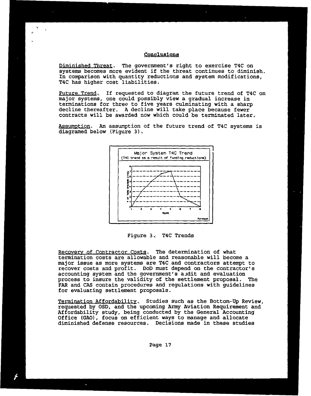## Conclusions

Diminished Threat. The government's right to exercise T4C on systems becomes more evident if the threat continues to diminish. In comparison with quantity reductions and system modifications, T4C has higher cost liabilities.

Future Trend, If requested to diagrar. the future trend of T4C on major systems, one could possibly view a gradual increase in terminations for three to five years culminating with a sharp decline thereafter. A decline will take place because fewer contracts will be awarded now which could be terminated later,

Assumption. An assumption of the future trend of T4C systems is diagramed below (Figure **3),**



Figure 3. T4C Trends

• IRecovery of Contractor Costs. The determination of what

Recovery of Contractor Costs. The determination of what<br>termination costs are allowable and reasonable will become a<br>major issue as more systems are T4C and contractor's attempt to<br>magical profit. DoD must depend on the co recover costs and profit. DoD must depend on the contractor's accounting system and the government's audit and evaluation accounting system and the government's audit and evaluation<br>process to insure the validity of the settlement proposal. The<br>FAR and CAS contain procedures and regulations with guidelines<br>for evaluating settlement proposals. for evaluating settlement proposals.

Termination Affordability. Studies such as the Bottom-Up Review, requested by OSD, and the upcoming Army Aviation Requirement and Affordability study, being conducted by the General Accounting Office (GAO), focus on effici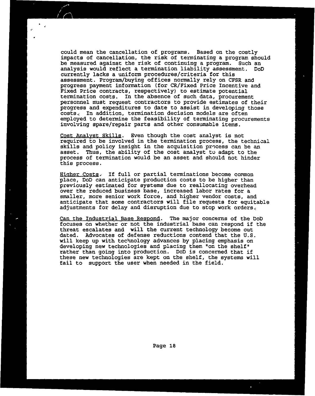could mean the cancellation of programs. Based on the costly impacts of cancellation, the risk of terminating a program should be measured against the risk of continuing a program. Such an analysis would reflect a termination liability assessment. DoD currently lacks a uniform procedures/criteria for this assessment. Program/buying offices normally rely on CFSR and progress payment information (for CR/Fixed Price Incentive and Fixed Price contracts, respectively) to estimate potential termination costs. In the absence of such data, procurement personnel must request contractors to provide estimates of their progress and expenditures to date to assist in developing those costs, In addition, termination decision models are often employed to determine the feasibility of terminating procurements involving spare/repair parts and other consumable items.

Cost Analyst Skills. Even though the cost analyst is not required to be involved in the termination process, the technical skills and policy insight in the acquisition process can be an asset. Thus, the ability of the cost analyst to adapt to the process of termination would be an asset and should not hinder this process.

Higher Costs. If full or partial terminations become common place, DoD can anticipate production costs to be higher than previously estimated for systems due to reallocating overhead over the reduced business base, increased labor rates for a smaller, more senior work force, and higher vendor costs, and anticipate that some contractors will file requests for equitable adjustments for delay and disruption due to stop work orders,

Can the Industrial Base Respond. The major concerns of the DoD focuses on whether or not the industrial base can respond if the threat escalates and will the current technology become out dated. Advocates of defense reductions contend that the U.S. will keep up with technology advances by placing emphasis on developing new technologies and placing them "on the shelf" rather than going into production. DoD is concerned that if these new technologies are kept on the shelf, the systems will fail to support the user when needed in the field.